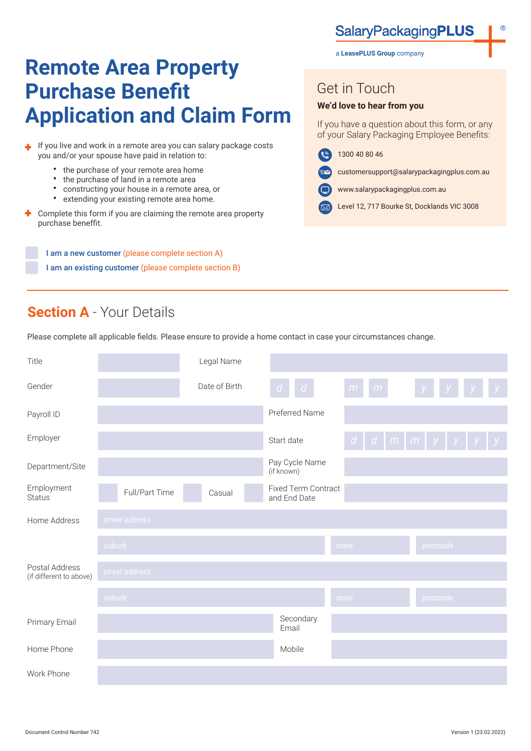**SalaryPackagingPLUS** 

# **Remote Area Property Purchase Benefit Application and Claim Form**

I If you live and work in a remote area you can salary package costs you and/or your spouse have paid in relation to:

- the purchase of your remote area home
- the purchase of land in a remote area<br>• constructing your bouse in a remote a
- constructing your house in a remote area, or
- extending your existing remote area home.
- Complete this form if you are claiming the remote area property purchase beneffit.

I am a new customer (please complete section A) I am an existing customer (please complete section B)

a **LeasePLUS Group** company

### Get in Touch

#### **We'd love to hear from you**

If you have a question about this form, or any of your Salary Packaging Employee Benefits:

- $\left( \mathbf{e} \right)$ 1300 40 80 46
	- customersupport@salarypackagingplus.com.au
- www.salarypackagingplus.com.au
- Level 12, 717 Bourke St, Docklands VIC 3008

# **Section A** - Your Details

Please complete all applicable fields. Please ensure to provide a home contact in case your circumstances change.

| Title                                     |                | Legal Name    |                                            |        |                                                      |
|-------------------------------------------|----------------|---------------|--------------------------------------------|--------|------------------------------------------------------|
| Gender                                    |                | Date of Birth | $d \mid d \mid$                            | m<br>m | y                                                    |
| Payroll ID                                |                |               | Preferred Name                             |        |                                                      |
| Employer                                  |                |               | Start date                                 |        | $d \mid d \mid m \mid m \mid y \mid y \mid y \mid y$ |
| Department/Site                           |                |               | Pay Cycle Name<br>(if known)               |        |                                                      |
| Employment<br><b>Status</b>               | Full/Part Time | Casual        | <b>Fixed Term Contract</b><br>and End Date |        |                                                      |
| Home Address                              | street address |               |                                            |        |                                                      |
|                                           | suburb         |               |                                            | state  | postcode                                             |
| Postal Address<br>(if different to above) | street address |               |                                            |        |                                                      |
|                                           | suburb         |               |                                            | state  | postcode                                             |
| Primary Email                             |                |               | Secondary<br>Email                         |        |                                                      |
| Home Phone                                |                |               | Mobile                                     |        |                                                      |
| Work Phone                                |                |               |                                            |        |                                                      |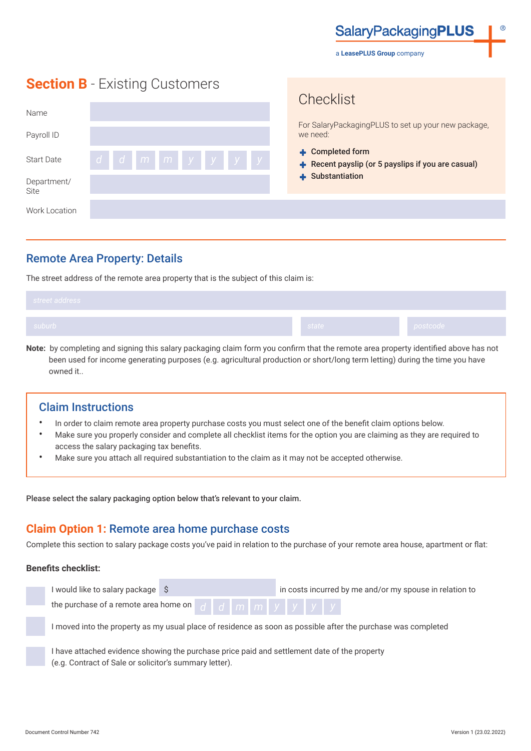**SalaryPackagingPLUS** 

a **LeasePLUS Group** company

Chooklict

## **Section B** - Existing Customers

| Name                |           | ULICUMIOL                                                              |  |  |  |
|---------------------|-----------|------------------------------------------------------------------------|--|--|--|
| Payroll ID          |           | For SalaryPackagingPLUS to set up your new package,<br>we need:        |  |  |  |
| <b>Start Date</b>   | ddmmmyyyy | + Completed form<br>+ Recent payslip (or 5 payslips if you are casual) |  |  |  |
| Department/<br>Site |           | + Substantiation                                                       |  |  |  |
| Work Location       |           |                                                                        |  |  |  |

### Remote Area Property: Details

The street address of the remote area property that is the subject of this claim is:

| street address |         |                       |
|----------------|---------|-----------------------|
| suburb /       | state I | postcode <sub> </sub> |

**Note:** by completing and signing this salary packaging claim form you confirm that the remote area property identified above has not been used for income generating purposes (e.g. agricultural production or short/long term letting) during the time you have owned it..

### Claim Instructions

- In order to claim remote area property purchase costs you must select one of the benefit claim options below.
- Make sure you properly consider and complete all checklist items for the option you are claiming as they are required to access the salary packaging tax benefits.
- Make sure you attach all required substantiation to the claim as it may not be accepted otherwise.

Please select the salary packaging option below that's relevant to your claim.

### **Claim Option 1:** Remote area home purchase costs

Complete this section to salary package costs you've paid in relation to the purchase of your remote area house, apartment or flat:

#### **Benefits checklist:**

| I would like to salary package \$                                                                             |  |  |  | in costs incurred by me and/or my spouse in relation to |  |  |  |  |  |
|---------------------------------------------------------------------------------------------------------------|--|--|--|---------------------------------------------------------|--|--|--|--|--|
| the purchase of a remote area home on $d$ $d$ $m$ $m$ $m$ $y$ $y$ $y$ $y$                                     |  |  |  |                                                         |  |  |  |  |  |
| I moved into the property as my usual place of residence as soon as possible after the purchase was completed |  |  |  |                                                         |  |  |  |  |  |
| I have attached evidence showing the purchase price paid and settlement date of the property                  |  |  |  |                                                         |  |  |  |  |  |

(e.g. Contract of Sale or solicitor's summary letter).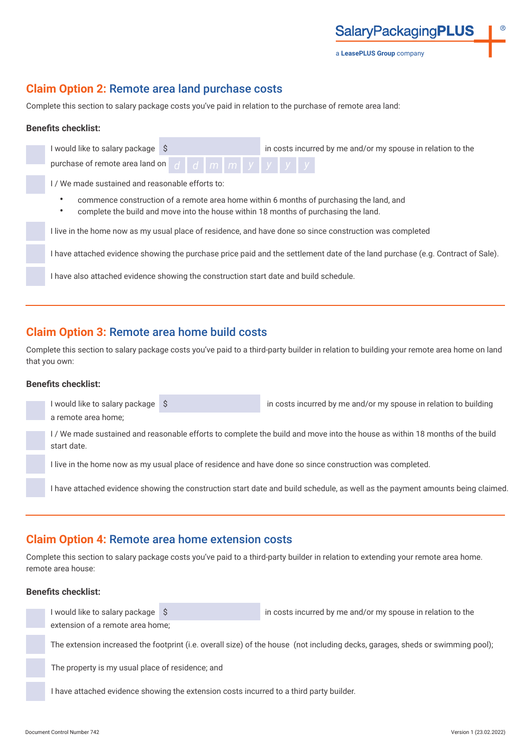a **LeasePLUS Group** company

**SalaryPackagingPLUS** 

### **Claim Option 2:** Remote area land purchase costs

Complete this section to salary package costs you've paid in relation to the purchase of remote area land:

#### **Benefits checklist:**

| in costs incurred by me and/or my spouse in relation to the<br>I would like to salary package \$                                                                               |
|--------------------------------------------------------------------------------------------------------------------------------------------------------------------------------|
| $d$ d $m$ $m$ $y$ $y$ $y$ $y$<br>purchase of remote area land on                                                                                                               |
| I/We made sustained and reasonable efforts to:                                                                                                                                 |
| commence construction of a remote area home within 6 months of purchasing the land, and<br>complete the build and move into the house within 18 months of purchasing the land. |
| I live in the home now as my usual place of residence, and have done so since construction was completed                                                                       |
| I have attached evidence showing the purchase price paid and the settlement date of the land purchase (e.g. Contract of Sale).                                                 |
| I have also attached evidence showing the construction start date and build schedule.                                                                                          |
|                                                                                                                                                                                |

### **Claim Option 3:** Remote area home build costs

Complete this section to salary package costs you've paid to a third-party builder in relation to building your remote area home on land that you own:

#### **Benefits checklist:**

| I would like to salary package \$ | in costs incurred by me and/or my spouse in relation to building                                                               |
|-----------------------------------|--------------------------------------------------------------------------------------------------------------------------------|
| a remote area home;               |                                                                                                                                |
| start date.                       | I/We made sustained and reasonable efforts to complete the build and move into the house as within 18 months of the build      |
|                                   | I live in the home now as my usual place of residence and have done so since construction was completed.                       |
|                                   | l have attached evidence showing the construction start date and build schedule, as well as the payment amounts being claimed. |

### **Claim Option 4:** Remote area home extension costs

Complete this section to salary package costs you've paid to a third-party builder in relation to extending your remote area home. remote area house:

#### **Benefits checklist:**

I would like to salary package  $\left|\S\right|$ extension of a remote area home;

The extension increased the footprint (i.e. overall size) of the house (not including decks, garages, sheds or swimming pool);

The property is my usual place of residence; and

I have attached evidence showing the extension costs incurred to a third party builder.